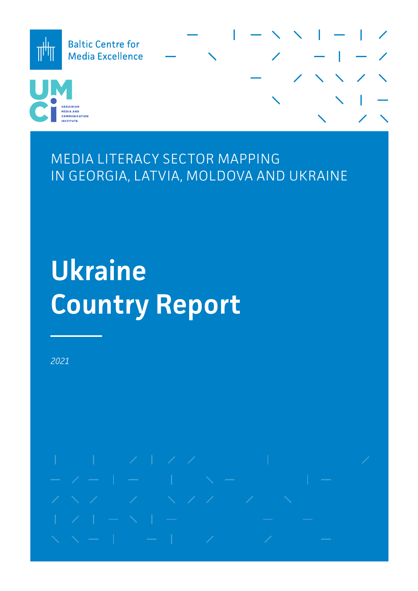

MEDIA LITERACY SECTOR MAPPING IN GEORGIA, LATVIA, MOLDOVA AND UKRAINE

# **Ukraine Country Report**

*2021*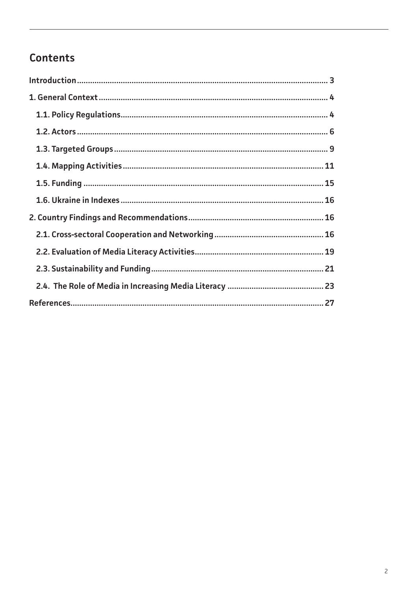# Contents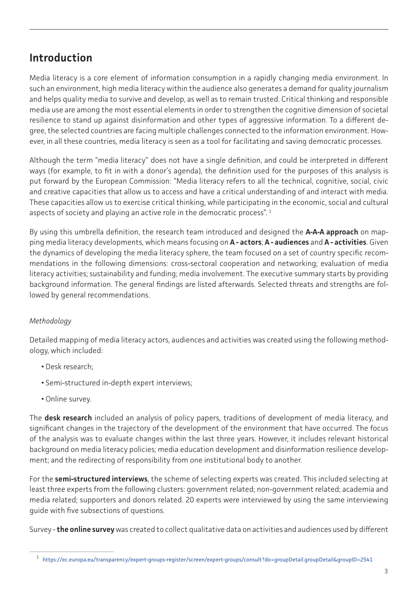# <span id="page-2-0"></span>**Introduction**

Media literacy is a core element of information consumption in a rapidly changing media environment. In such an environment, high media literacy within the audience also generates a demand for quality journalism and helps quality media to survive and develop, as well as to remain trusted. Critical thinking and responsible media use are among the most essential elements in order to strengthen the cognitive dimension of societal resilience to stand up against disinformation and other types of aggressive information. To a different degree, the selected countries are facing multiple challenges connected to the information environment. However, in all these countries, media literacy is seen as a tool for facilitating and saving democratic processes.

Although the term "media literacy" does not have a single definition, and could be interpreted in different ways (for example, to fit in with a donor's agenda), the definition used for the purposes of this analysis is put forward by the European Commission: "Media literacy refers to all the technical, cognitive, social, civic and creative capacities that allow us to access and have a critical understanding of and interact with media. These capacities allow us to exercise critical thinking, while participating in the economic, social and cultural aspects of society and playing an active role in the democratic process".<sup>1</sup>

By using this umbrella definition, the research team introduced and designed the **A-A-A approach** on mapping media literacy developments, which means focusing on **A - actors**; **A - audiences** and **A - activities**. Given the dynamics of developing the media literacy sphere, the team focused on a set of country specific recommendations in the following dimensions: cross-sectoral cooperation and networking; evaluation of media literacy activities; sustainability and funding; media involvement. The executive summary starts by providing background information. The general findings are listed afterwards. Selected threats and strengths are followed by general recommendations.

## *Methodology*

Detailed mapping of media literacy actors, audiences and activities was created using the following methodology, which included:

- Desk research;
- Semi-structured in-depth expert interviews;
- Online survey.

The **desk research** included an analysis of policy papers, traditions of development of media literacy, and significant changes in the trajectory of the development of the environment that have occurred. The focus of the analysis was to evaluate changes within the last three years. However, it includes relevant historical background on media literacy policies; media education development and disinformation resilience development; and the redirecting of responsibility from one institutional body to another.

For the **semi-structured interviews**, the scheme of selecting experts was created. This included selecting at least three experts from the following clusters: government related; non-government related; academia and media related; supporters and donors related. 20 experts were interviewed by using the same interviewing guide with five subsections of questions.

Survey - **the online survey** was created to collect qualitative data on activities and audiences used by different

<sup>1</sup> [https://ec.europa.eu/transparency/expert-groups-register/screen/expert-groups/consult?do=groupDetail.groupDetail&groupID=2541](https://ec.europa.eu/transparency/expert-groups-register/screen/expert-groups/consult?do=groupDetail)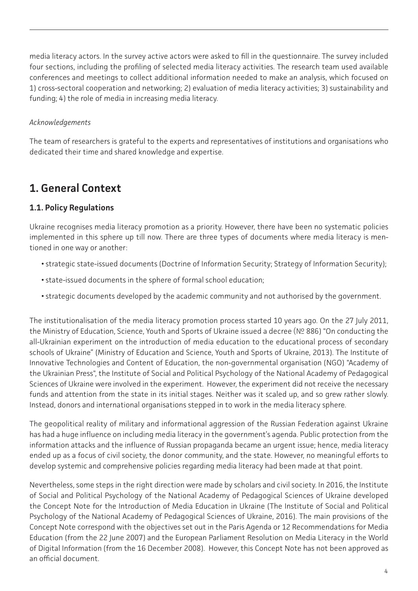<span id="page-3-0"></span>media literacy actors. In the survey active actors were asked to fill in the questionnaire. The survey included four sections, including the profiling of selected media literacy activities. The research team used available conferences and meetings to collect additional information needed to make an analysis, which focused on 1) cross-sectoral cooperation and networking; 2) evaluation of media literacy activities; 3) sustainability and funding; 4) the role of media in increasing media literacy.

#### *Acknowledgements*

The team of researchers is grateful to the experts and representatives of institutions and organisations who dedicated their time and shared knowledge and expertise.

# **1. General Context**

## **1.1. Policy Regulations**

Ukraine recognises media literacy promotion as a priority. However, there have been no systematic policies implemented in this sphere up till now. There are three types of documents where media literacy is mentioned in one way or another:

- strategic state-issued documents (Doctrine of Information Security; Strategy of Information Security);
- state-issued documents in the sphere of formal school education;
- strategic documents developed by the academic community and not authorised by the government.

The institutionalisation of the media literacy promotion process started 10 years ago. On the 27 July 2011, the Ministry of Education, Science, Youth and Sports of Ukraine issued a decree (№ 886) "On conducting the all-Ukrainian experiment on the introduction of media education to the educational process of secondary schools of Ukraine" (Ministry of Education and Science, Youth and Sports of Ukraine, 2013). The Institute of Innovative Technologies and Content of Education, the non-governmental organisation (NGO) "Academy of the Ukrainian Press", the Institute of Social and Political Psychology of the National Academy of Pedagogical Sciences of Ukraine were involved in the experiment. However, the experiment did not receive the necessary funds and attention from the state in its initial stages. Neither was it scaled up, and so grew rather slowly. Instead, donors and international organisations stepped in to work in the media literacy sphere.

The geopolitical reality of military and informational aggression of the Russian Federation against Ukraine has had a huge influence on including media literacy in the government's agenda. Public protection from the information attacks and the influence of Russian propaganda became an urgent issue; hence, media literacy ended up as a focus of civil society, the donor community, and the state. However, no meaningful efforts to develop systemic and comprehensive policies regarding media literacy had been made at that point.

Nevertheless, some steps in the right direction were made by scholars and civil society. In 2016, the Institute of Social and Political Psychology of the National Academy of Pedagogical Sciences of Ukraine developed the Concept Note for the Introduction of Media Education in Ukraine (The Institute of Social and Political Psychology of the National Academy of Pedagogical Sciences of Ukraine, 2016). The main provisions of the Concept Note correspond with the objectives set out in the Paris Agenda or 12 Recommendations for Media Education (from the 22 June 2007) and the European Parliament Resolution on Media Literacy in the World of Digital Information (from the 16 December 2008). However, this Concept Note has not been approved as an official document.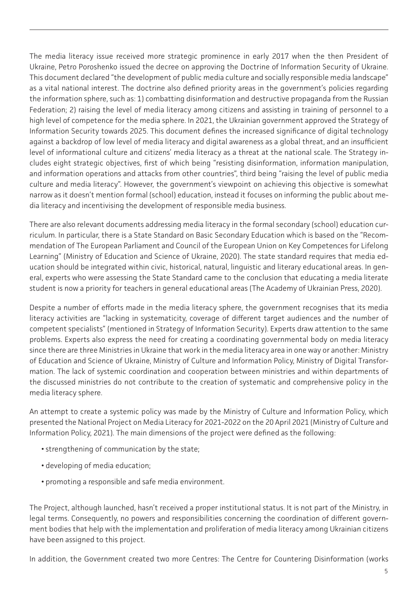The media literacy issue received more strategic prominence in early 2017 when the then President of Ukraine, Petro Poroshenko issued the decree on approving the Doctrine of Information Security of Ukraine. This document declared "the development of public media culture and socially responsible media landscape" as a vital national interest. The doctrine also defined priority areas in the government's policies regarding the information sphere, such as: 1) combatting disinformation and destructive propaganda from the Russian Federation; 2) raising the level of media literacy among citizens and assisting in training of personnel to a high level of competence for the media sphere. In 2021, the Ukrainian government approved the Strategy of Information Security towards 2025. This document defines the increased significance of digital technology against a backdrop of low level of media literacy and digital awareness as a global threat, and an insufficient level of informational culture and citizens' media literacy as a threat at the national scale. The Strategy includes eight strategic objectives, first of which being "resisting disinformation, information manipulation, and information operations and attacks from other countries", third being "raising the level of public media culture and media literacy". However, the government's viewpoint on achieving this objective is somewhat narrow as it doesn't mention formal (school) education, instead it focuses on informing the public about media literacy and incentivising the development of responsible media business.

There are also relevant documents addressing media literacy in the formal secondary (school) education curriculum. In particular, there is a State Standard on Basic Secondary Education which is based on the "Recommendation of The European Parliament and Council of the European Union on Key Competences for Lifelong Learning" (Ministry of Education and Science of Ukraine, 2020). The state standard requires that media education should be integrated within civic, historical, natural, linguistic and literary educational areas. In general, experts who were assessing the State Standard came to the conclusion that educating a media literate student is now a priority for teachers in general educational areas (The Academy of Ukrainian Press, 2020).

Despite a number of efforts made in the media literacy sphere, the government recognises that its media literacy activities are "lacking in systematicity, coverage of different target audiences and the number of competent specialists" (mentioned in Strategy of Information Security). Experts draw attention to the same problems. Experts also express the need for creating a coordinating governmental body on media literacy since there are three Ministries in Ukraine that work in the media literacy area in one way or another: Ministry of Education and Science of Ukraine, Ministry of Culture and Information Policy, Ministry of Digital Transformation. The lack of systemic coordination and cooperation between ministries and within departments of the discussed ministries do not contribute to the creation of systematic and comprehensive policy in the media literacy sphere.

An attempt to create a systemic policy was made by the Ministry of Culture and Information Policy, which presented the National Project on Media Literacy for 2021-2022 on the 20 April 2021 (Ministry of Culture and Information Policy, 2021). The main dimensions of the project were defined as the following:

- strengthening of communication by the state;
- developing of media education;
- promoting a responsible and safe media environment.

The Project, although launched, hasn't received a proper institutional status. It is not part of the Ministry, in legal terms. Consequently, no powers and responsibilities concerning the coordination of different government bodies that help with the implementation and proliferation of media literacy among Ukrainian citizens have been assigned to this project.

In addition, the Government created two more Centres: The Centre for Countering Disinformation (works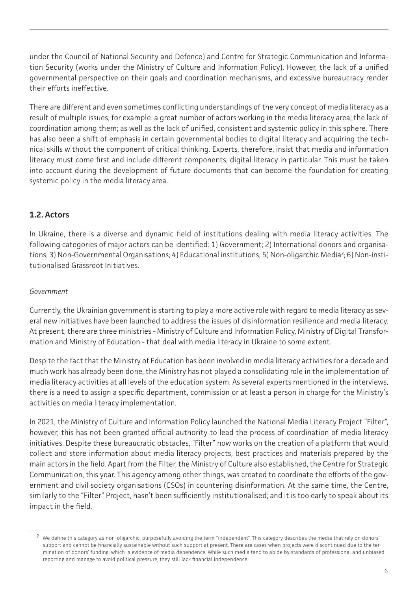<span id="page-5-0"></span>under the Council of National Security and Defence) and Centre for Strategic Communication and Information Security (works under the Ministry of Culture and Information Policy). However, the lack of a unified governmental perspective on their goals and coordination mechanisms, and excessive bureaucracy render their efforts ineffective.

There are different and even sometimes conflicting understandings of the very concept of media literacy as a result of multiple issues, for example: a great number of actors working in the media literacy area; the lack of coordination among them; as well as the lack of unified, consistent and systemic policy in this sphere. There has also been a shift of emphasis in certain governmental bodies to digital literacy and acquiring the technical skills without the component of critical thinking. Experts, therefore, insist that media and information literacy must come first and include different components, digital literacy in particular. This must be taken into account during the development of future documents that can become the foundation for creating systemic policy in the media literacy area.

#### **1.2. Actors**

In Ukraine, there is a diverse and dynamic field of institutions dealing with media literacy activities. The following categories of major actors can be identified: 1) Government; 2) International donors and organisations; 3) Non-Governmental Organisations; 4) Educational institutions; 5) Non-oligarchic Media<sup>2</sup>; 6) Non-institutionalised Grassroot Initiatives.

#### *Government*

Currently, the Ukrainian government is starting to play a more active role with regard to media literacy as several new initiatives have been launched to address the issues of disinformation resilience and media literacy. At present, there are three ministries - Ministry of Culture and Information Policy, Ministry of Digital Transformation and Ministry of Education - that deal with media literacy in Ukraine to some extent.

Despite the fact that the Ministry of Education has been involved in media literacy activities for a decade and much work has already been done, the Ministry has not played a consolidating role in the implementation of media literacy activities at all levels of the education system. As several experts mentioned in the interviews, there is a need to assign a specific department, commission or at least a person in charge for the Ministry's activities on media literacy implementation.

In 2021, the Ministry of Culture and Information Policy launched the National Media Literacy Project "Filter", however, this has not been granted official authority to lead the process of coordination of media literacy initiatives. Despite these bureaucratic obstacles, "Filter" now works on the creation of a platform that would collect and store information about media literacy projects, best practices and materials prepared by the main actors in the field. Apart from the Filter, the Ministry of Culture also established, the Centre for Strategic Communication, this year. This agency among other things, was created to coordinate the efforts of the government and civil society organisations (CSOs) in countering disinformation. At the same time, the Centre, similarly to the "Filter" Project, hasn't been sufficiently institutionalised; and it is too early to speak about its impact in the field.

<sup>&</sup>lt;sup>2</sup> We define this category as non-oligarchic, purposefully avoiding the term "independent". This category describes the media that rely on donors' support and cannot be financially sustainable without such support at present. There are cases when projects were discontinued due to the termination of donors' funding, which is evidence of media dependence. While such media tend to abide by standards of professional and unbiased reporting and manage to avoid political pressure, they still lack financial independence.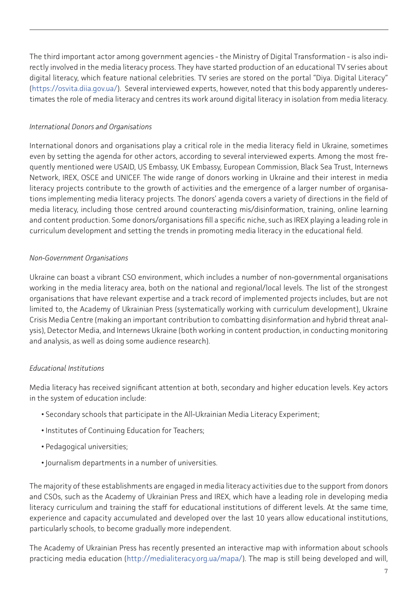The third important actor among government agencies - the Ministry of Digital Transformation - is also indirectly involved in the media literacy process. They have started production of an educational TV series about digital literacy, which feature national celebrities. TV series are stored on the portal "Diya. Digital Literacy" (<https://osvita.diia.gov.ua/>). Several interviewed experts, however, noted that this body apparently underestimates the role of media literacy and centres its work around digital literacy in isolation from media literacy.

#### *International Donors and Organisations*

International donors and organisations play a critical role in the media literacy field in Ukraine, sometimes even by setting the agenda for other actors, according to several interviewed experts. Among the most frequently mentioned were USAID, US Embassy, UK Embassy, European Commission, Black Sea Trust, Internews Network, IREX, OSCE and UNICEF. The wide range of donors working in Ukraine and their interest in media literacy projects contribute to the growth of activities and the emergence of a larger number of organisations implementing media literacy projects. The donors' agenda covers a variety of directions in the field of media literacy, including those centred around counteracting mis/disinformation, training, online learning and content production. Some donors/organisations fill a specific niche, such as IREX playing a leading role in curriculum development and setting the trends in promoting media literacy in the educational field.

#### *Non-Government Organisations*

Ukraine can boast a vibrant CSO environment, which includes a number of non-governmental organisations working in the media literacy area, both on the national and regional/local levels. The list of the strongest organisations that have relevant expertise and a track record of implemented projects includes, but are not limited to, the Academy of Ukrainian Press (systematically working with curriculum development), Ukraine Crisis Media Centre (making an important contribution to combatting disinformation and hybrid threat analysis), Detector Media, and Internews Ukraine (both working in content production, in conducting monitoring and analysis, as well as doing some audience research).

#### *Educational Institutions*

Media literacy has received significant attention at both, secondary and higher education levels. Key actors in the system of education include:

- Secondary schools that participate in the All-Ukrainian Media Literacy Experiment;
- Institutes of Continuing Education for Teachers;
- Pedagogical universities;
- Journalism departments in a number of universities.

The majority of these establishments are engaged in media literacy activities due to the support from donors and CSOs, such as the Academy of Ukrainian Press and IREX, which have a leading role in developing media literacy curriculum and training the staff for educational institutions of different levels. At the same time, experience and capacity accumulated and developed over the last 10 years allow educational institutions, particularly schools, to become gradually more independent.

The Academy of Ukrainian Press has recently presented an interactive map with information about schools practicing media education (<http://medialiteracy.org.ua/mapa/>). The map is still being developed and will,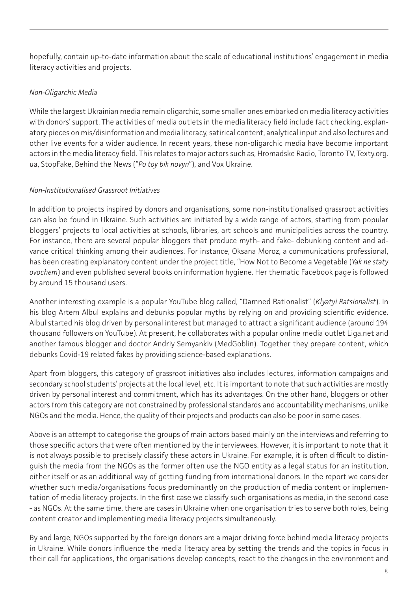hopefully, contain up-to-date information about the scale of educational institutions' engagement in media literacy activities and projects.

#### *Non-Oligarchic Media*

While the largest Ukrainian media remain oligarchic, some smaller ones embarked on media literacy activities with donors' support. The activities of media outlets in the media literacy field include fact checking, explanatory pieces on mis/disinformation and media literacy, satirical content, analytical input and also lectures and other live events for a wider audience. In recent years, these non-oligarchic media have become important actors in the media literacy field. This relates to major actors such as, Hromadske Radio, Toronto TV, Texty.org. ua, StopFake, Behind the News ("*Po toy bik novyn*"), and Vox Ukraine.

#### *Non-Institutionalised Grassroot Initiatives*

In addition to projects inspired by donors and organisations, some non-institutionalised grassroot activities can also be found in Ukraine. Such activities are initiated by a wide range of actors, starting from popular bloggers' projects to local activities at schools, libraries, art schools and municipalities across the country. For instance, there are several popular bloggers that produce myth- and fake- debunking content and advance critical thinking among their audiences. For instance, Oksana Moroz, a communications professional, has been creating explanatory content under the project title, "How Not to Become a Vegetable (*Yak ne staty ovochem*) and even published several books on information hygiene. Her thematic Facebook page is followed by around 15 thousand users.

Another interesting example is a popular YouTube blog called, "Damned Rationalist" (*Klyatyi Ratsionalist*). In his blog Artem Albul explains and debunks popular myths by relying on and providing scientific evidence. Albul started his blog driven by personal interest but managed to attract a significant audience (around 194 thousand followers on YouTube). At present, he collaborates with a popular online media outlet Liga.net and another famous blogger and doctor Andriy Semyankiv (MedGoblin). Together they prepare content, which debunks Covid-19 related fakes by providing science-based explanations.

Apart from bloggers, this category of grassroot initiatives also includes lectures, information campaigns and secondary school students' projects at the local level, etc. It is important to note that such activities are mostly driven by personal interest and commitment, which has its advantages. On the other hand, bloggers or other actors from this category are not constrained by professional standards and accountability mechanisms, unlike NGOs and the media. Hence, the quality of their projects and products can also be poor in some cases.

Above is an attempt to categorise the groups of main actors based mainly on the interviews and referring to those specific actors that were often mentioned by the interviewees. However, it is important to note that it is not always possible to precisely classify these actors in Ukraine. For example, it is often difficult to distinguish the media from the NGOs as the former often use the NGO entity as a legal status for an institution, either itself or as an additional way of getting funding from international donors. In the report we consider whether such media/organisations focus predominantly on the production of media content or implementation of media literacy projects. In the first case we classify such organisations as media, in the second case - as NGOs. At the same time, there are cases in Ukraine when one organisation tries to serve both roles, being content creator and implementing media literacy projects simultaneously.

By and large, NGOs supported by the foreign donors are a major driving force behind media literacy projects in Ukraine. While donors influence the media literacy area by setting the trends and the topics in focus in their call for applications, the organisations develop concepts, react to the changes in the environment and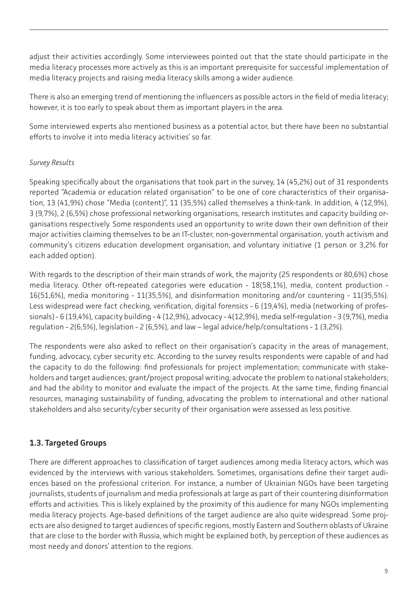<span id="page-8-0"></span>adjust their activities accordingly. Some interviewees pointed out that the state should participate in the media literacy processes more actively as this is an important prerequisite for successful implementation of media literacy projects and raising media literacy skills among a wider audience.

There is also an emerging trend of mentioning the influencers as possible actors in the field of media literacy; however, it is too early to speak about them as important players in the area.

Some interviewed experts also mentioned business as a potential actor, but there have been no substantial efforts to involve it into media literacy activities' so far.

#### *Survey Results*

Speaking specifically about the organisations that took part in the survey, 14 (45,2%) out of 31 respondents reported "Academia or education related organisation" to be one of core characteristics of their organisation, 13 (41,9%) chose "Media (content)", 11 (35,5%) called themselves a think-tank. In addition, 4 (12,9%), 3 (9,7%), 2 (6,5%) chose professional networking organisations, research institutes and capacity building organisations respectively. Some respondents used an opportunity to write down their own definition of their major activities claiming themselves to be an IT-cluster, non-governmental organisation, youth activism and community's citizens education development organisation, and voluntary initiative (1 person or 3,2% for each added option).

With regards to the description of their main strands of work, the majority (25 respondents or 80,6%) chose media literacy. Other oft-repeated categories were education - 18(58,1%), media, content production - 16(51,6%), media monitoring - 11(35,5%), and disinformation monitoring and/or countering - 11(35,5%). Less widespread were fact checking, verification, digital forensics - 6 (19,4%), media (networking of professionals) - 6 (19,4%), capacity building - 4 (12,9%), advocacy - 4(12,9%), media self-regulation - 3 (9,7%), media regulation - 2(6,5%), legislation - 2 (6,5%), and law – legal advice/help/consultations - 1 (3,2%).

The respondents were also asked to reflect on their organisation's capacity in the areas of management, funding, advocacy, cyber security etc. According to the survey results respondents were capable of and had the capacity to do the following: find professionals for project implementation; communicate with stakeholders and target audiences; grant/project proposal writing; advocate the problem to national stakeholders; and had the ability to monitor and evaluate the impact of the projects. At the same time, finding financial resources, managing sustainability of funding, advocating the problem to international and other national stakeholders and also security/cyber security of their organisation were assessed as less positive.

## **1.3. Targeted Groups**

There are different approaches to classification of target audiences among media literacy actors, which was evidenced by the interviews with various stakeholders. Sometimes, organisations define their target audiences based on the professional criterion. For instance, a number of Ukrainian NGOs have been targeting journalists, students of journalism and media professionals at large as part of their countering disinformation efforts and activities. This is likely explained by the proximity of this audience for many NGOs implementing media literacy projects. Age-based definitions of the target audience are also quite widespread. Some projects are also designed to target audiences of specific regions, mostly Eastern and Southern oblasts of Ukraine that are close to the border with Russia, which might be explained both, by perception of these audiences as most needy and donors' attention to the regions.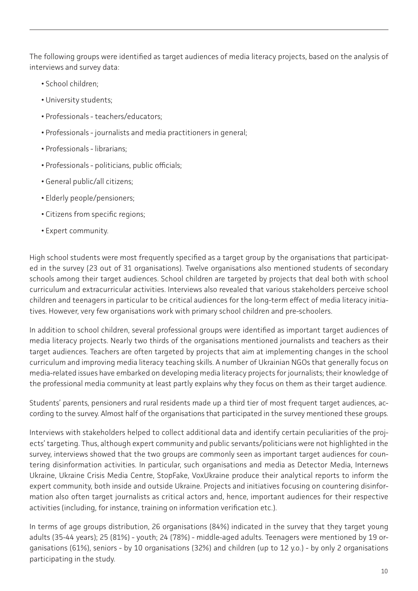The following groups were identified as target audiences of media literacy projects, based on the analysis of interviews and survey data:

- School children;
- University students;
- Professionals teachers/educators;
- Professionals journalists and media practitioners in general;
- Professionals librarians;
- Professionals politicians, public officials;
- General public/all citizens;
- Elderly people/pensioners;
- Citizens from specific regions;
- Expert community.

High school students were most frequently specified as a target group by the organisations that participated in the survey (23 out of 31 organisations). Twelve organisations also mentioned students of secondary schools among their target audiences. School children are targeted by projects that deal both with school curriculum and extracurricular activities. Interviews also revealed that various stakeholders perceive school children and teenagers in particular to be critical audiences for the long-term effect of media literacy initiatives. However, very few organisations work with primary school children and pre-schoolers.

In addition to school children, several professional groups were identified as important target audiences of media literacy projects. Nearly two thirds of the organisations mentioned journalists and teachers as their target audiences. Teachers are often targeted by projects that aim at implementing changes in the school curriculum and improving media literacy teaching skills. A number of Ukrainian NGOs that generally focus on media-related issues have embarked on developing media literacy projects for journalists; their knowledge of the professional media community at least partly explains why they focus on them as their target audience.

Students' parents, pensioners and rural residents made up a third tier of most frequent target audiences, according to the survey. Almost half of the organisations that participated in the survey mentioned these groups.

Interviews with stakeholders helped to collect additional data and identify certain peculiarities of the projects' targeting. Thus, although expert community and public servants/politicians were not highlighted in the survey, interviews showed that the two groups are commonly seen as important target audiences for countering disinformation activities. In particular, such organisations and media as Detector Media, Internews Ukraine, Ukraine Crisis Media Centre, StopFake, VoxUkraine produce their analytical reports to inform the expert community, both inside and outside Ukraine. Projects and initiatives focusing on countering disinformation also often target journalists as critical actors and, hence, important audiences for their respective activities (including, for instance, training on information verification etc.).

In terms of age groups distribution, 26 organisations (84%) indicated in the survey that they target young adults (35-44 years); 25 (81%) - youth; 24 (78%) - middle-aged adults. Teenagers were mentioned by 19 organisations (61%), seniors - by 10 organisations (32%) and children (up to 12 y.o.) - by only 2 organisations participating in the study.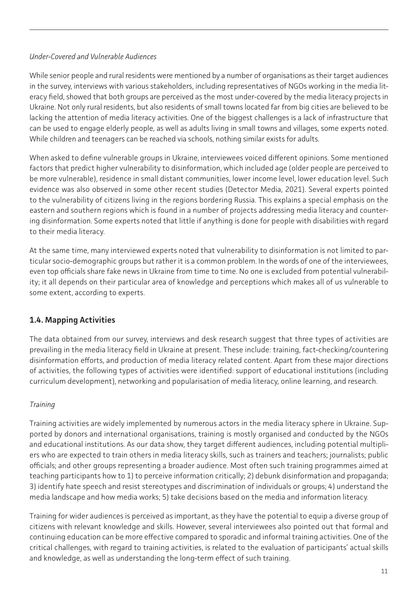#### <span id="page-10-0"></span>*Under-Covered and Vulnerable Audiences*

While senior people and rural residents were mentioned by a number of organisations as their target audiences in the survey, interviews with various stakeholders, including representatives of NGOs working in the media literacy field, showed that both groups are perceived as the most under-covered by the media literacy projects in Ukraine. Not only rural residents, but also residents of small towns located far from big cities are believed to be lacking the attention of media literacy activities. One of the biggest challenges is a lack of infrastructure that can be used to engage elderly people, as well as adults living in small towns and villages, some experts noted. While children and teenagers can be reached via schools, nothing similar exists for adults.

When asked to define vulnerable groups in Ukraine, interviewees voiced different opinions. Some mentioned factors that predict higher vulnerability to disinformation, which included age (older people are perceived to be more vulnerable), residence in small distant communities, lower income level, lower education level. Such evidence was also observed in some other recent studies (Detector Media, 2021). Several experts pointed to the vulnerability of citizens living in the regions bordering Russia. This explains a special emphasis on the eastern and southern regions which is found in a number of projects addressing media literacy and countering disinformation. Some experts noted that little if anything is done for people with disabilities with regard to their media literacy.

At the same time, many interviewed experts noted that vulnerability to disinformation is not limited to particular socio-demographic groups but rather it is a common problem. In the words of one of the interviewees, even top officials share fake news in Ukraine from time to time. No one is excluded from potential vulnerability; it all depends on their particular area of knowledge and perceptions which makes all of us vulnerable to some extent, according to experts.

## **1.4. Mapping Activities**

The data obtained from our survey, interviews and desk research suggest that three types of activities are prevailing in the media literacy field in Ukraine at present. These include: training, fact-checking/countering disinformation efforts, and production of media literacy related content. Apart from these major directions of activities, the following types of activities were identified: support of educational institutions (including curriculum development), networking and popularisation of media literacy, online learning, and research.

## *Training*

Training activities are widely implemented by numerous actors in the media literacy sphere in Ukraine. Supported by donors and international organisations, training is mostly organised and conducted by the NGOs and educational institutions. As our data show, they target different audiences, including potential multipliers who are expected to train others in media literacy skills, such as trainers and teachers; journalists; public officials; and other groups representing a broader audience. Most often such training programmes aimed at teaching participants how to 1) to perceive information critically; 2) debunk disinformation and propaganda; 3) identify hate speech and resist stereotypes and discrimination of individuals or groups; 4) understand the media landscape and how media works; 5) take decisions based on the media and information literacy.

Training for wider audiences is perceived as important, as they have the potential to equip a diverse group of citizens with relevant knowledge and skills. However, several interviewees also pointed out that formal and continuing education can be more effective compared to sporadic and informal training activities. One of the critical challenges, with regard to training activities, is related to the evaluation of participants' actual skills and knowledge, as well as understanding the long-term effect of such training.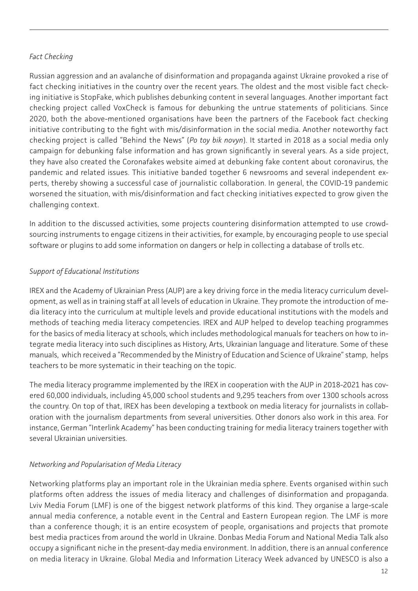#### *Fact Checking*

Russian aggression and an avalanche of disinformation and propaganda against Ukraine provoked a rise of fact checking initiatives in the country over the recent years. The oldest and the most visible fact checking initiative is StopFake, which publishes debunking content in several languages. Another important fact checking project called VoxCheck is famous for debunking the untrue statements of politicians. Since 2020, both the above-mentioned organisations have been the partners of the Facebook fact checking initiative contributing to the fight with mis/disinformation in the social media. Another noteworthy fact checking project is called "Behind the News" (*Po toy bik novyn*). It started in 2018 as a social media only campaign for debunking false information and has grown significantly in several years. As a side project, they have also created the Coronafakes website aimed at debunking fake content about coronavirus, the pandemic and related issues. This initiative banded together 6 newsrooms and several independent experts, thereby showing a successful case of journalistic collaboration. In general, the COVID-19 pandemic worsened the situation, with mis/disinformation and fact checking initiatives expected to grow given the challenging context.

In addition to the discussed activities, some projects countering disinformation attempted to use crowdsourcing instruments to engage citizens in their activities, for example, by encouraging people to use special software or plugins to add some information on dangers or help in collecting a database of trolls etc.

## *Support of Educational Institutions*

IREX and the Academy of Ukrainian Press (AUP) are a key driving force in the media literacy curriculum development, as well as in training staff at all levels of education in Ukraine. They promote the introduction of media literacy into the curriculum at multiple levels and provide educational institutions with the models and methods of teaching media literacy competencies. IREX and AUP helped to develop teaching programmes for the basics of media literacy at schools, which includes methodological manuals for teachers on how to integrate media literacy into such disciplines as History, Arts, Ukrainian language and literature. Some of these manuals, which received a "Recommended by the Ministry of Education and Science of Ukraine" stamp, helps teachers to be more systematic in their teaching on the topic.

The media literacy programme implemented by the IREX in cooperation with the AUP in 2018-2021 has covered 60,000 individuals, including 45,000 school students and 9,295 teachers from over 1300 schools across the country. On top of that, IREX has been developing a textbook on media literacy for journalists in collaboration with the journalism departments from several universities. Other donors also work in this area. For instance, German "Interlink Academy" has been conducting training for media literacy trainers together with several Ukrainian universities.

#### *Networking and Popularisation of Media Literacy*

Networking platforms play an important role in the Ukrainian media sphere. Events organised within such platforms often address the issues of media literacy and challenges of disinformation and propaganda. Lviv Media Forum (LMF) is one of the biggest network platforms of this kind. They organise a large-scale annual media conference, a notable event in the Central and Eastern European region. The LMF is more than a conference though; it is an entire ecosystem of people, organisations and projects that promote best media practices from around the world in Ukraine. Donbas Media Forum and National Media Talk also occupy a significant niche in the present-day media environment. In addition, there is an annual conference on media literacy in Ukraine. Global Media and Information Literacy Week advanced by UNESCO is also a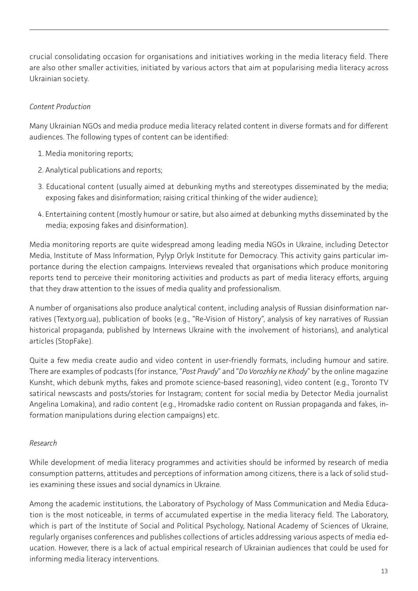crucial consolidating occasion for organisations and initiatives working in the media literacy field. There are also other smaller activities, initiated by various actors that aim at popularising media literacy across Ukrainian society.

#### *Content Production*

Many Ukrainian NGOs and media produce media literacy related content in diverse formats and for different audiences. The following types of content can be identified:

- 1. Media monitoring reports;
- 2. Analytical publications and reports;
- 3. Educational content (usually aimed at debunking myths and stereotypes disseminated by the media; exposing fakes and disinformation; raising critical thinking of the wider audience);
- 4. Entertaining content (mostly humour or satire, but also aimed at debunking myths disseminated by the media; exposing fakes and disinformation).

Media monitoring reports are quite widespread among leading media NGOs in Ukraine, including Detector Media, Institute of Mass Information, Pylyp Orlyk Institute for Democracy. This activity gains particular importance during the election campaigns. Interviews revealed that organisations which produce monitoring reports tend to perceive their monitoring activities and products as part of media literacy efforts, arguing that they draw attention to the issues of media quality and professionalism.

A number of organisations also produce analytical content, including analysis of Russian disinformation narratives (Texty.org.ua), publication of books (e.g., "Re-Vision of History", analysis of key narratives of Russian historical propaganda, published by Internews Ukraine with the involvement of historians), and analytical articles (StopFake).

Quite a few media create audio and video content in user-friendly formats, including humour and satire. There are examples of podcasts (for instance, "*Post Pravdy*" and "*Do Vorozhky ne Khody*" by the online magazine Kunsht, which debunk myths, fakes and promote science-based reasoning), video content (e.g., Toronto TV satirical newscasts and posts/stories for Instagram; content for social media by Detector Media journalist Angelina Lomakina), and radio content (e.g., Hromadske radio content on Russian propaganda and fakes, information manipulations during election campaigns) etc.

#### *Research*

While development of media literacy programmes and activities should be informed by research of media consumption patterns, attitudes and perceptions of information among citizens, there is a lack of solid studies examining these issues and social dynamics in Ukraine.

Among the academic institutions, the Laboratory of Psychology of Mass Communication and Media Education is the most noticeable, in terms of accumulated expertise in the media literacy field. The Laboratory, which is part of the Institute of Social and Political Psychology, National Academy of Sciences of Ukraine, regularly organises conferences and publishes collections of articles addressing various aspects of media education. However, there is a lack of actual empirical research of Ukrainian audiences that could be used for informing media literacy interventions.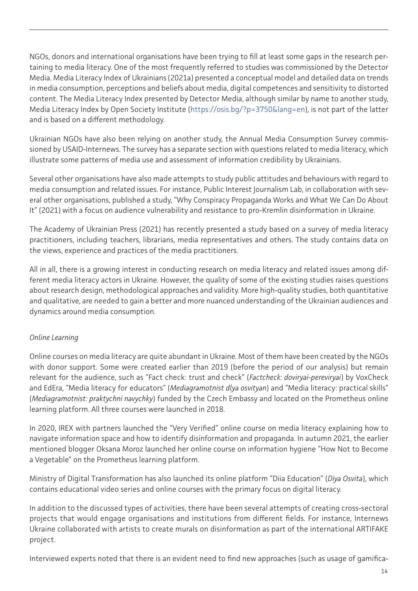NGOs, donors and international organisations have been trying to fill at least some gaps in the research pertaining to media literacy. One of the most frequently referred to studies was commissioned by the Detector Media. Media Literacy Index of Ukrainians (2021a) presented a conceptual model and detailed data on trends in media consumption, perceptions and beliefs about media, digital competences and sensitivity to distorted content. The Media Literacy Index presented by Detector Media, although similar by name to another study, Media Literacy Index by Open Society Institute [\(https://osis.bg/?p=3750&lang=en](https://osis.bg/?p=3750&lang=en)), is not part of the latter and is based on a different methodology.

Ukrainian NGOs have also been relying on another study, the Annual Media Consumption Survey commissioned by USAID-Internews. The survey has a separate section with questions related to media literacy, which illustrate some patterns of media use and assessment of information credibility by Ukrainians.

Several other organisations have also made attempts to study public attitudes and behaviours with regard to media consumption and related issues. For instance, Public Interest Journalism Lab, in collaboration with several other organisations, published a study, "Why Conspiracy Propaganda Works and What We Can Do About It" (2021) with a focus on audience vulnerability and resistance to pro-Kremlin disinformation in Ukraine.

The Academy of Ukrainian Press (2021) has recently presented a study based on a survey of media literacy practitioners, including teachers, librarians, media representatives and others. The study contains data on the views, experience and practices of the media practitioners.

All in all, there is a growing interest in conducting research on media literacy and related issues among different media literacy actors in Ukraine. However, the quality of some of the existing studies raises questions about research design, methodological approaches and validity. More high-quality studies, both quantitative and qualitative, are needed to gain a better and more nuanced understanding of the Ukrainian audiences and dynamics around media consumption.

#### *Online Learning*

Online courses on media literacy are quite abundant in Ukraine. Most of them have been created by the NGOs with donor support. Some were created earlier than 2019 (before the period of our analysis) but remain relevant for the audience, such as "Fact check: trust and check" (*Factcheck: doviryai-pereviryai*) by VoxCheck and EdEra, "Media literacy for educators" (*Mediagramotnist dlya osvityan*) and "Media literacy: practical skills" (*Mediagramotnist: praktychni navychky*) funded by the Czech Embassy and located on the Prometheus online learning platform. All three courses were launched in 2018.

In 2020, IREX with partners launched the "Very Verified" online course on media literacy explaining how to navigate information space and how to identify disinformation and propaganda. In autumn 2021, the earlier mentioned blogger Oksana Moroz launched her online course on information hygiene "How Not to Become a Vegetable" on the Prometheus learning platform.

Ministry of Digital Transformation has also launched its online platform "Diia Education" (*Diya Osvita*), which contains educational video series and online courses with the primary focus on digital literacy.

In addition to the discussed types of activities, there have been several attempts of creating cross-sectoral projects that would engage organisations and institutions from different fields. For instance, Internews Ukraine collaborated with artists to create murals on disinformation as part of the international ARTIFAKE project.

Interviewed experts noted that there is an evident need to find new approaches (such as usage of gamifica-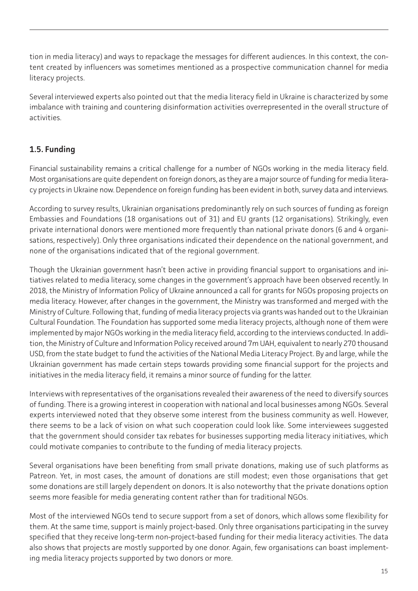<span id="page-14-0"></span>tion in media literacy) and ways to repackage the messages for different audiences. In this context, the content created by influencers was sometimes mentioned as a prospective communication channel for media literacy projects.

Several interviewed experts also pointed out that the media literacy field in Ukraine is characterized by some imbalance with training and countering disinformation activities overrepresented in the overall structure of activities.

# **1.5. Funding**

Financial sustainability remains a critical challenge for a number of NGOs working in the media literacy field. Most organisations are quite dependent on foreign donors, as they are a major source of funding for media literacy projects in Ukraine now. Dependence on foreign funding has been evident in both, survey data and interviews.

According to survey results, Ukrainian organisations predominantly rely on such sources of funding as foreign Embassies and Foundations (18 organisations out of 31) and EU grants (12 organisations). Strikingly, even private international donors were mentioned more frequently than national private donors (6 and 4 organisations, respectively). Only three organisations indicated their dependence on the national government, and none of the organisations indicated that of the regional government.

Though the Ukrainian government hasn't been active in providing financial support to organisations and initiatives related to media literacy, some changes in the government's approach have been observed recently. In 2018, the Ministry of Information Policy of Ukraine announced a call for grants for NGOs proposing projects on media literacy. However, after changes in the government, the Ministry was transformed and merged with the Ministry of Culture. Following that, funding of media literacy projects via grants was handed out to the Ukrainian Cultural Foundation. The Foundation has supported some media literacy projects, although none of them were implemented by major NGOs working in the media literacy field, according to the interviews conducted. In addition, the Ministry of Culture and Information Policy received around 7m UAH, equivalent to nearly 270 thousand USD, from the state budget to fund the activities of the National Media Literacy Project. By and large, while the Ukrainian government has made certain steps towards providing some financial support for the projects and initiatives in the media literacy field, it remains a minor source of funding for the latter.

Interviews with representatives of the organisations revealed their awareness of the need to diversify sources of funding. There is a growing interest in cooperation with national and local businesses among NGOs. Several experts interviewed noted that they observe some interest from the business community as well. However, there seems to be a lack of vision on what such cooperation could look like. Some interviewees suggested that the government should consider tax rebates for businesses supporting media literacy initiatives, which could motivate companies to contribute to the funding of media literacy projects.

Several organisations have been benefiting from small private donations, making use of such platforms as Patreon. Yet, in most cases, the amount of donations are still modest; even those organisations that get some donations are still largely dependent on donors. It is also noteworthy that the private donations option seems more feasible for media generating content rather than for traditional NGOs.

Most of the interviewed NGOs tend to secure support from a set of donors, which allows some flexibility for them. At the same time, support is mainly project-based. Only three organisations participating in the survey specified that they receive long-term non-project-based funding for their media literacy activities. The data also shows that projects are mostly supported by one donor. Again, few organisations can boast implementing media literacy projects supported by two donors or more.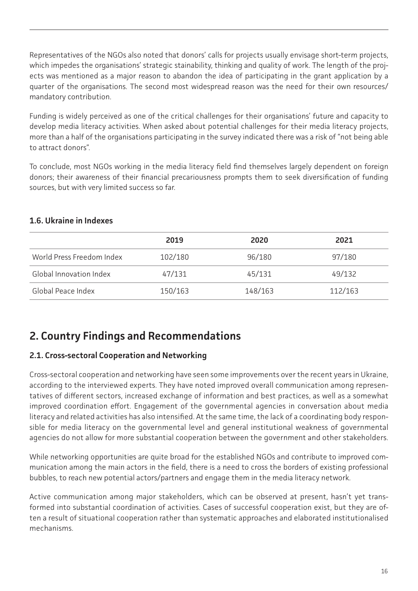<span id="page-15-0"></span>Representatives of the NGOs also noted that donors' calls for projects usually envisage short-term projects, which impedes the organisations' strategic stainability, thinking and quality of work. The length of the projects was mentioned as a major reason to abandon the idea of participating in the grant application by a quarter of the organisations. The second most widespread reason was the need for their own resources/ mandatory contribution.

Funding is widely perceived as one of the critical challenges for their organisations' future and capacity to develop media literacy activities. When asked about potential challenges for their media literacy projects, more than a half of the organisations participating in the survey indicated there was a risk of "not being able to attract donors".

To conclude, most NGOs working in the media literacy field find themselves largely dependent on foreign donors; their awareness of their financial precariousness prompts them to seek diversification of funding sources, but with very limited success so far.

|                           | 2019    | 2020    | 2021    |  |
|---------------------------|---------|---------|---------|--|
| World Press Freedom Index | 102/180 | 96/180  | 97/180  |  |
| Global Innovation Index   | 47/131  | 45/131  | 49/132  |  |
| Global Peace Index        | 150/163 | 148/163 | 112/163 |  |

#### **1.6. Ukraine in Indexes**

# **2. Country Findings and Recommendations**

#### **2.1. Cross-sectoral Cooperation and Networking**

Cross-sectoral cooperation and networking have seen some improvements over the recent years in Ukraine, according to the interviewed experts. They have noted improved overall communication among representatives of different sectors, increased exchange of information and best practices, as well as a somewhat improved coordination effort. Engagement of the governmental agencies in conversation about media literacy and related activities has also intensified. At the same time, the lack of a coordinating body responsible for media literacy on the governmental level and general institutional weakness of governmental agencies do not allow for more substantial cooperation between the government and other stakeholders.

While networking opportunities are quite broad for the established NGOs and contribute to improved communication among the main actors in the field, there is a need to cross the borders of existing professional bubbles, to reach new potential actors/partners and engage them in the media literacy network.

Active communication among major stakeholders, which can be observed at present, hasn't yet transformed into substantial coordination of activities. Cases of successful cooperation exist, but they are often a result of situational cooperation rather than systematic approaches and elaborated institutionalised mechanisms.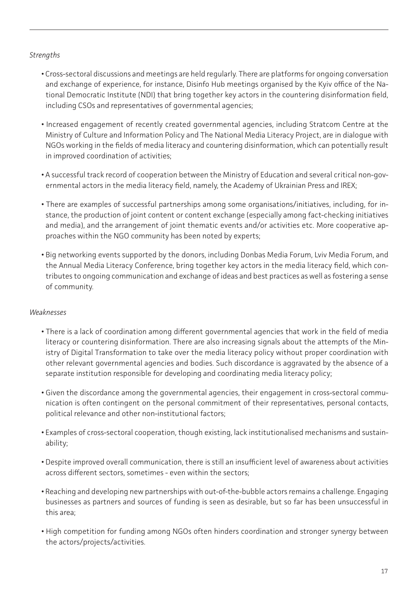#### *Strengths*

- Cross-sectoral discussions and meetings are held regularly. There are platforms for ongoing conversation and exchange of experience, for instance, Disinfo Hub meetings organised by the Kyiv office of the National Democratic Institute (NDI) that bring together key actors in the countering disinformation field, including CSOs and representatives of governmental agencies;
- Increased engagement of recently created governmental agencies, including Stratcom Centre at the Ministry of Culture and Information Policy and The National Media Literacy Project, are in dialogue with NGOs working in the fields of media literacy and countering disinformation, which can potentially result in improved coordination of activities;
- A successful track record of cooperation between the Ministry of Education and several critical non-governmental actors in the media literacy field, namely, the Academy of Ukrainian Press and IREX;
- There are examples of successful partnerships among some organisations/initiatives, including, for instance, the production of joint content or content exchange (especially among fact-checking initiatives and media), and the arrangement of joint thematic events and/or activities etc. More cooperative approaches within the NGO community has been noted by experts;
- Big networking events supported by the donors, including Donbas Media Forum, Lviv Media Forum, and the Annual Media Literacy Conference, bring together key actors in the media literacy field, which contributes to ongoing communication and exchange of ideas and best practices as well as fostering a sense of community.

#### *Weaknesses*

- There is a lack of coordination among different governmental agencies that work in the field of media literacy or countering disinformation. There are also increasing signals about the attempts of the Ministry of Digital Transformation to take over the media literacy policy without proper coordination with other relevant governmental agencies and bodies. Such discordance is aggravated by the absence of a separate institution responsible for developing and coordinating media literacy policy;
- Given the discordance among the governmental agencies, their engagement in cross-sectoral communication is often contingent on the personal commitment of their representatives, personal contacts, political relevance and other non-institutional factors;
- Examples of cross-sectoral cooperation, though existing, lack institutionalised mechanisms and sustainability;
- Despite improved overall communication, there is still an insufficient level of awareness about activities across different sectors, sometimes - even within the sectors;
- Reaching and developing new partnerships with out-of-the-bubble actors remains a challenge. Engaging businesses as partners and sources of funding is seen as desirable, but so far has been unsuccessful in this area;
- High competition for funding among NGOs often hinders coordination and stronger synergy between the actors/projects/activities.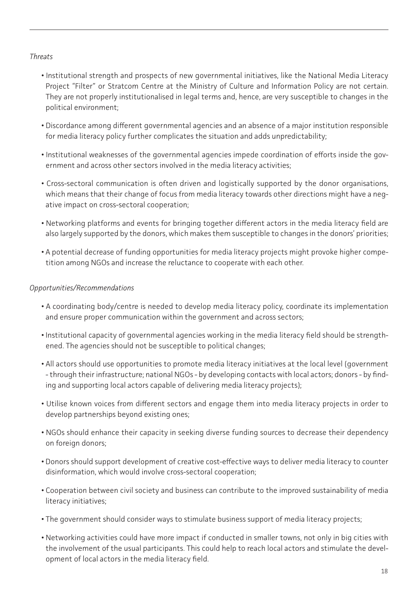#### *Threats*

- Institutional strength and prospects of new governmental initiatives, like the National Media Literacy Project "Filter" or Stratcom Centre at the Ministry of Culture and Information Policy are not certain. They are not properly institutionalised in legal terms and, hence, are very susceptible to changes in the political environment;
- Discordance among different governmental agencies and an absence of a major institution responsible for media literacy policy further complicates the situation and adds unpredictability;
- Institutional weaknesses of the governmental agencies impede coordination of efforts inside the government and across other sectors involved in the media literacy activities;
- Cross-sectoral communication is often driven and logistically supported by the donor organisations, which means that their change of focus from media literacy towards other directions might have a negative impact on cross-sectoral cooperation;
- Networking platforms and events for bringing together different actors in the media literacy field are also largely supported by the donors, which makes them susceptible to changes in the donors' priorities;
- A potential decrease of funding opportunities for media literacy projects might provoke higher competition among NGOs and increase the reluctance to cooperate with each other.

#### *Opportunities/Recommendations*

- A coordinating body/centre is needed to develop media literacy policy, coordinate its implementation and ensure proper communication within the government and across sectors;
- Institutional capacity of governmental agencies working in the media literacy field should be strengthened. The agencies should not be susceptible to political changes;
- All actors should use opportunities to promote media literacy initiatives at the local level (government - through their infrastructure; national NGOs - by developing contacts with local actors; donors - by finding and supporting local actors capable of delivering media literacy projects);
- Utilise known voices from different sectors and engage them into media literacy projects in order to develop partnerships beyond existing ones;
- NGOs should enhance their capacity in seeking diverse funding sources to decrease their dependency on foreign donors;
- Donors should support development of creative cost-effective ways to deliver media literacy to counter disinformation, which would involve cross-sectoral cooperation;
- Cooperation between civil society and business can contribute to the improved sustainability of media literacy initiatives;
- The government should consider ways to stimulate business support of media literacy projects;
- Networking activities could have more impact if conducted in smaller towns, not only in big cities with the involvement of the usual participants. This could help to reach local actors and stimulate the development of local actors in the media literacy field.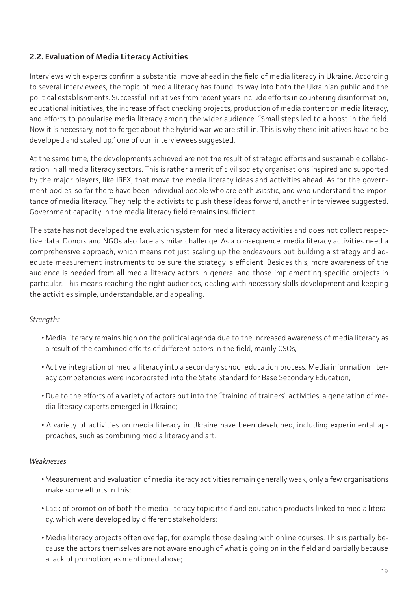# <span id="page-18-0"></span>**2.2. Evaluation of Media Literacy Activities**

Interviews with experts confirm a substantial move ahead in the field of media literacy in Ukraine. According to several interviewees, the topic of media literacy has found its way into both the Ukrainian public and the political establishments. Successful initiatives from recent years include efforts in countering disinformation, educational initiatives, the increase of fact checking projects, production of media content on media literacy, and efforts to popularise media literacy among the wider audience. "Small steps led to a boost in the field. Now it is necessary, not to forget about the hybrid war we are still in. This is why these initiatives have to be developed and scaled up," one of our interviewees suggested.

At the same time, the developments achieved are not the result of strategic efforts and sustainable collaboration in all media literacy sectors. This is rather a merit of civil society organisations inspired and supported by the major players, like IREX, that move the media literacy ideas and activities ahead. As for the government bodies, so far there have been individual people who are enthusiastic, and who understand the importance of media literacy. They help the activists to push these ideas forward, another interviewee suggested. Government capacity in the media literacy field remains insufficient.

The state has not developed the evaluation system for media literacy activities and does not collect respective data. Donors and NGOs also face a similar challenge. As a consequence, media literacy activities need a comprehensive approach, which means not just scaling up the endeavours but building a strategy and adequate measurement instruments to be sure the strategy is efficient. Besides this, more awareness of the audience is needed from all media literacy actors in general and those implementing specific projects in particular. This means reaching the right audiences, dealing with necessary skills development and keeping the activities simple, understandable, and appealing.

#### *Strengths*

- Media literacy remains high on the political agenda due to the increased awareness of media literacy as a result of the combined efforts of different actors in the field, mainly CSOs;
- Active integration of media literacy into a secondary school education process. Media information literacy competencies were incorporated into the State Standard for Base Secondary Education;
- Due to the efforts of a variety of actors put into the "training of trainers" activities, a generation of media literacy experts emerged in Ukraine;
- A variety of activities on media literacy in Ukraine have been developed, including experimental approaches, such as combining media literacy and art.

#### *Weaknesses*

- Measurement and evaluation of media literacy activities remain generally weak, only a few organisations make some efforts in this;
- Lack of promotion of both the media literacy topic itself and education products linked to media literacy, which were developed by different stakeholders;
- Media literacy projects often overlap, for example those dealing with online courses. This is partially because the actors themselves are not aware enough of what is going on in the field and partially because a lack of promotion, as mentioned above;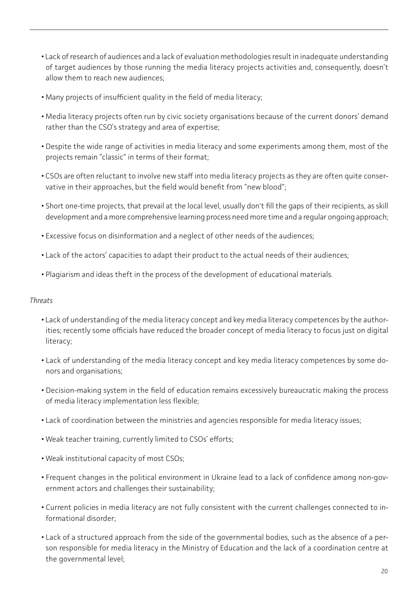- Lack of research of audiences and a lack of evaluation methodologies result in inadequate understanding of target audiences by those running the media literacy projects activities and, consequently, doesn't allow them to reach new audiences;
- Many projects of insufficient quality in the field of media literacy;
- Media literacy projects often run by civic society organisations because of the current donors' demand rather than the CSO's strategy and area of expertise;
- Despite the wide range of activities in media literacy and some experiments among them, most of the projects remain "classic" in terms of their format;
- CSOs are often reluctant to involve new staff into media literacy projects as they are often quite conservative in their approaches, but the field would benefit from "new blood";
- Short one-time projects, that prevail at the local level, usually don't fill the gaps of their recipients, as skill development and a more comprehensive learning process need more time and a regular ongoing approach;
- Excessive focus on disinformation and a neglect of other needs of the audiences;
- Lack of the actors' capacities to adapt their product to the actual needs of their audiences;
- Plagiarism and ideas theft in the process of the development of educational materials.

#### *Threats*

- Lack of understanding of the media literacy concept and key media literacy competences by the authorities; recently some officials have reduced the broader concept of media literacy to focus just on digital literacy;
- Lack of understanding of the media literacy concept and key media literacy competences by some donors and organisations;
- Decision-making system in the field of education remains excessively bureaucratic making the process of media literacy implementation less flexible;
- Lack of coordination between the ministries and agencies responsible for media literacy issues;
- Weak teacher training, currently limited to CSOs' efforts;
- Weak institutional capacity of most CSOs;
- Frequent changes in the political environment in Ukraine lead to a lack of confidence among non-government actors and challenges their sustainability;
- Current policies in media literacy are not fully consistent with the current challenges connected to informational disorder;
- Lack of a structured approach from the side of the governmental bodies, such as the absence of a person responsible for media literacy in the Ministry of Education and the lack of a coordination centre at the governmental level;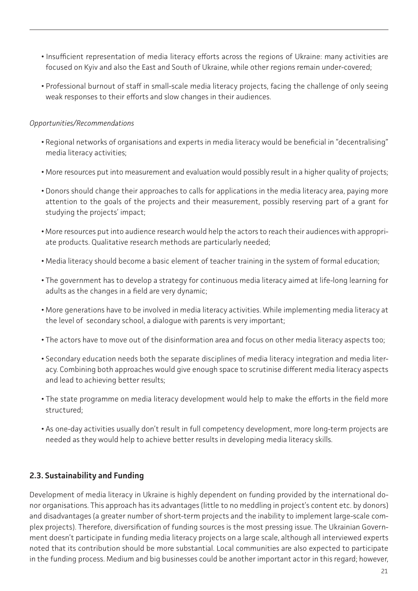- <span id="page-20-0"></span>**•** Insufficient representation of media literacy efforts across the regions of Ukraine: many activities are focused on Kyiv and also the East and South of Ukraine, while other regions remain under-covered;
- Professional burnout of staff in small-scale media literacy projects, facing the challenge of only seeing weak responses to their efforts and slow changes in their audiences.

#### *Opportunities/Recommendations*

- Regional networks of organisations and experts in media literacy would be beneficial in "decentralising" media literacy activities;
- More resources put into measurement and evaluation would possibly result in a higher quality of projects;
- Donors should change their approaches to calls for applications in the media literacy area, paying more attention to the goals of the projects and their measurement, possibly reserving part of a grant for studying the projects' impact;
- More resources put into audience research would help the actors to reach their audiences with appropriate products. Qualitative research methods are particularly needed;
- Media literacy should become a basic element of teacher training in the system of formal education;
- The government has to develop a strategy for continuous media literacy aimed at life-long learning for adults as the changes in a field are very dynamic;
- More generations have to be involved in media literacy activities. While implementing media literacy at the level of secondary school, a dialogue with parents is very important;
- The actors have to move out of the disinformation area and focus on other media literacy aspects too;
- Secondary education needs both the separate disciplines of media literacy integration and media literacy. Combining both approaches would give enough space to scrutinise different media literacy aspects and lead to achieving better results;
- The state programme on media literacy development would help to make the efforts in the field more structured;
- As one-day activities usually don't result in full competency development, more long-term projects are needed as they would help to achieve better results in developing media literacy skills.

## **2.3. Sustainability and Funding**

Development of media literacy in Ukraine is highly dependent on funding provided by the international donor organisations. This approach has its advantages (little to no meddling in project's content etc. by donors) and disadvantages (a greater number of short-term projects and the inability to implement large-scale complex projects). Therefore, diversification of funding sources is the most pressing issue. The Ukrainian Government doesn't participate in funding media literacy projects on a large scale, although all interviewed experts noted that its contribution should be more substantial. Local communities are also expected to participate in the funding process. Medium and big businesses could be another important actor in this regard; however,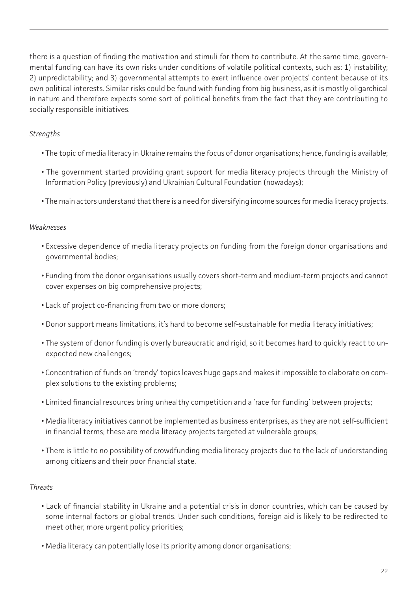there is a question of finding the motivation and stimuli for them to contribute. At the same time, governmental funding can have its own risks under conditions of volatile political contexts, such as: 1) instability; 2) unpredictability; and 3) governmental attempts to exert influence over projects' content because of its own political interests. Similar risks could be found with funding from big business, as it is mostly oligarchical in nature and therefore expects some sort of political benefits from the fact that they are contributing to socially responsible initiatives.

#### *Strengths*

- The topic of media literacy in Ukraine remains the focus of donor organisations; hence, funding is available;
- The government started providing grant support for media literacy projects through the Ministry of Information Policy (previously) and Ukrainian Cultural Foundation (nowadays);
- The main actors understand that there is a need for diversifying income sources for media literacy projects.

#### *Weaknesses*

- Excessive dependence of media literacy projects on funding from the foreign donor organisations and governmental bodies;
- Funding from the donor organisations usually covers short-term and medium-term projects and cannot cover expenses on big comprehensive projects;
- Lack of project co-financing from two or more donors;
- Donor support means limitations, it's hard to become self-sustainable for media literacy initiatives;
- The system of donor funding is overly bureaucratic and rigid, so it becomes hard to quickly react to unexpected new challenges;
- Concentration of funds on 'trendy' topics leaves huge gaps and makes it impossible to elaborate on complex solutions to the existing problems;
- Limited financial resources bring unhealthy competition and a 'race for funding' between projects;
- Media literacy initiatives cannot be implemented as business enterprises, as they are not self-sufficient in financial terms; these are media literacy projects targeted at vulnerable groups;
- There is little to no possibility of crowdfunding media literacy projects due to the lack of understanding among citizens and their poor financial state.

#### *Threats*

- Lack of financial stability in Ukraine and a potential crisis in donor countries, which can be caused by some internal factors or global trends. Under such conditions, foreign aid is likely to be redirected to meet other, more urgent policy priorities;
- Media literacy can potentially lose its priority among donor organisations;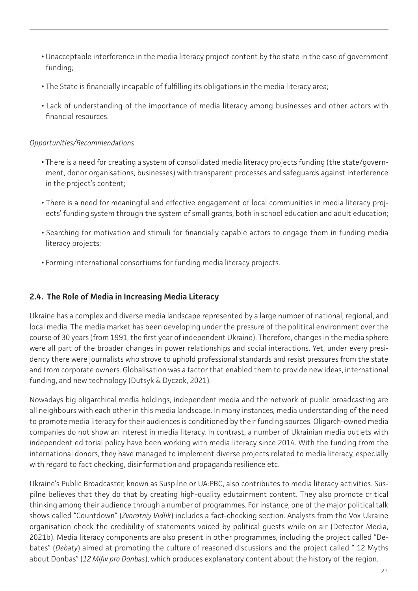- <span id="page-22-0"></span>**•** Unacceptable interference in the media literacy project content by the state in the case of government funding;
- The State is financially incapable of fulfilling its obligations in the media literacy area;
- Lack of understanding of the importance of media literacy among businesses and other actors with financial resources.

#### *Opportunities/Recommendations*

- There is a need for creating a system of consolidated media literacy projects funding (the state/government, donor organisations, businesses) with transparent processes and safeguards against interference in the project's content;
- There is a need for meaningful and effective engagement of local communities in media literacy projects' funding system through the system of small grants, both in school education and adult education;
- Searching for motivation and stimuli for financially capable actors to engage them in funding media literacy projects;
- Forming international consortiums for funding media literacy projects.

#### **2.4. The Role of Media in Increasing Media Literacy**

Ukraine has a complex and diverse media landscape represented by a large number of national, regional, and local media. The media market has been developing under the pressure of the political environment over the course of 30 years (from 1991, the first year of independent Ukraine). Therefore, changes in the media sphere were all part of the broader changes in power relationships and social interactions. Yet, under every presidency there were journalists who strove to uphold professional standards and resist pressures from the state and from corporate owners. Globalisation was a factor that enabled them to provide new ideas, international funding, and new technology (Dutsyk & Dyczok, 2021).

Nowadays big oligarchical media holdings, independent media and the network of public broadcasting are all neighbours with each other in this media landscape. In many instances, media understanding of the need to promote media literacy for their audiences is conditioned by their funding sources. Oligarch-owned media companies do not show an interest in media literacy. In contrast, a number of Ukrainian media outlets with independent editorial policy have been working with media literacy since 2014. With the funding from the international donors, they have managed to implement diverse projects related to media literacy, especially with regard to fact checking, disinformation and propaganda resilience etc.

Ukraine's Public Broadcaster, known as Suspilne or UA:PBC, also contributes to media literacy activities. Suspilne believes that they do that by creating high-quality edutainment content. They also promote critical thinking among their audience through a number of programmes. For instance, one of the major political talk shows called "Countdown" (*Zvorotniy Vidlik*) includes a fact-checking section. Analysts from the Vox Ukraine organisation check the credibility of statements voiced by political guests while on air (Detector Media, 2021b). Media literacy components are also present in other programmes, including the project called "Debates" (*Debaty*) aimed at promoting the culture of reasoned discussions and the project called " 12 Myths about Donbas" (*12 Mifiv pro Donbas*), which produces explanatory content about the history of the region.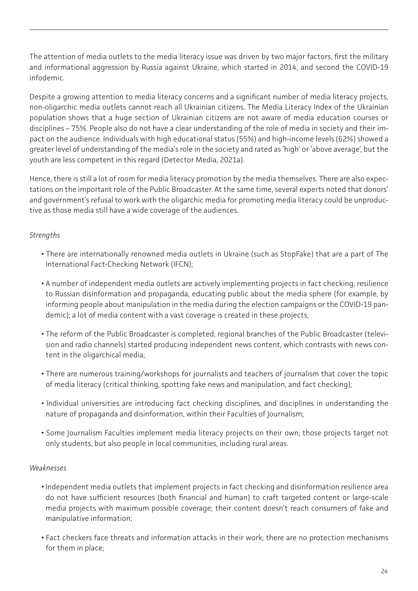The attention of media outlets to the media literacy issue was driven by two major factors, first the military and informational aggression by Russia against Ukraine, which started in 2014, and second the COVID-19 infodemic.

Despite a growing attention to media literacy concerns and a significant number of media literacy projects, non-oligarchic media outlets cannot reach all Ukrainian citizens. The Media Literacy Index of the Ukrainian population shows that a huge section of Ukrainian citizens are not aware of media education courses or disciplines – 75%. People also do not have a clear understanding of the role of media in society and their impact on the audience. Individuals with high educational status (55%) and high-income levels (62%) showed a greater level of understanding of the media's role in the society and rated as 'high' or 'above average', but the youth are less competent in this regard (Detector Media, 2021a).

Hence, there is still a lot of room for media literacy promotion by the media themselves. There are also expectations on the important role of the Public Broadcaster. At the same time, several experts noted that donors' and government's refusal to work with the oligarchic media for promoting media literacy could be unproductive as those media still have a wide coverage of the audiences.

#### *Strengths*

- There are internationally renowned media outlets in Ukraine (such as StopFake) that are a part of The International Fact-Checking Network (IFCN);
- A number of independent media outlets are actively implementing projects in fact checking, resilience to Russian disinformation and propaganda, educating public about the media sphere (for example, by informing people about manipulation in the media during the election campaigns or the COVID-19 pandemic); a lot of media content with a vast coverage is created in these projects;
- The reform of the Public Broadcaster is completed; regional branches of the Public Broadcaster (television and radio channels) started producing independent news content, which contrasts with news content in the oligarchical media;
- There are numerous training/workshops for journalists and teachers of journalism that cover the topic of media literacy (critical thinking, spotting fake news and manipulation, and fact checking);
- Individual universities are introducing fact checking disciplines, and disciplines in understanding the nature of propaganda and disinformation, within their Faculties of Journalism;
- Some Journalism Faculties implement media literacy projects on their own; those projects target not only students, but also people in local communities, including rural areas.

#### *Weaknesses*

- Independent media outlets that implement projects in fact checking and disinformation resilience area do not have sufficient resources (both financial and human) to craft targeted content or large-scale media projects with maximum possible coverage; their content doesn't reach consumers of fake and manipulative information;
- Fact checkers face threats and information attacks in their work; there are no protection mechanisms for them in place;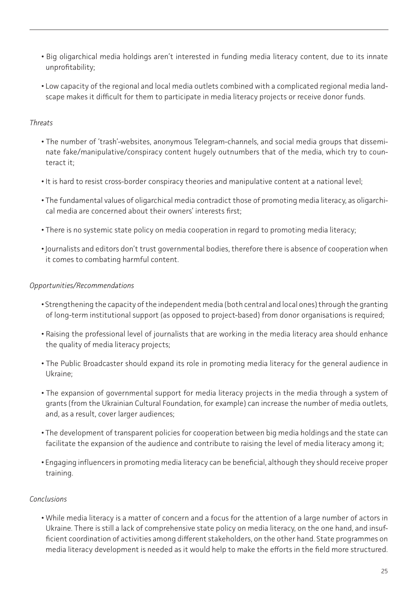- Big oligarchical media holdings aren't interested in funding media literacy content, due to its innate unprofitability;
- Low capacity of the regional and local media outlets combined with a complicated regional media landscape makes it difficult for them to participate in media literacy projects or receive donor funds.

#### *Threats*

- The number of 'trash'-websites, anonymous Telegram-channels, and social media groups that disseminate fake/manipulative/conspiracy content hugely outnumbers that of the media, which try to counteract it;
- It is hard to resist cross-border conspiracy theories and manipulative content at a national level;
- The fundamental values of oligarchical media contradict those of promoting media literacy, as oligarchical media are concerned about their owners' interests first;
- There is no systemic state policy on media cooperation in regard to promoting media literacy;
- Journalists and editors don't trust governmental bodies, therefore there is absence of cooperation when it comes to combating harmful content.

#### *Opportunities/Recommendations*

- Strengthening the capacity of the independent media (both central and local ones) through the granting of long-term institutional support (as opposed to project-based) from donor organisations is required;
- Raising the professional level of journalists that are working in the media literacy area should enhance the quality of media literacy projects;
- The Public Broadcaster should expand its role in promoting media literacy for the general audience in Ukraine;
- The expansion of governmental support for media literacy projects in the media through a system of grants (from the Ukrainian Cultural Foundation, for example) can increase the number of media outlets, and, as a result, cover larger audiences;
- The development of transparent policies for cooperation between big media holdings and the state can facilitate the expansion of the audience and contribute to raising the level of media literacy among it;
- Engaging influencers in promoting media literacy can be beneficial, although they should receive proper training.

#### *Conclusions*

**•** While media literacy is a matter of concern and a focus for the attention of a large number of actors in Ukraine. There is still a lack of comprehensive state policy on media literacy, on the one hand, and insufficient coordination of activities among different stakeholders, on the other hand. State programmes on media literacy development is needed as it would help to make the efforts in the field more structured.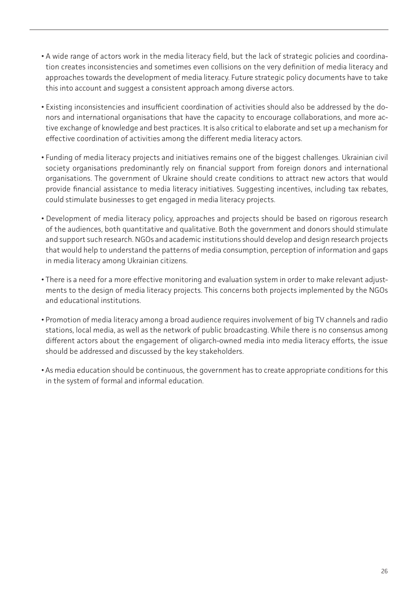- A wide range of actors work in the media literacy field, but the lack of strategic policies and coordination creates inconsistencies and sometimes even collisions on the very definition of media literacy and approaches towards the development of media literacy. Future strategic policy documents have to take this into account and suggest a consistent approach among diverse actors.
- Existing inconsistencies and insufficient coordination of activities should also be addressed by the donors and international organisations that have the capacity to encourage collaborations, and more active exchange of knowledge and best practices. It is also critical to elaborate and set up a mechanism for effective coordination of activities among the different media literacy actors.
- Funding of media literacy projects and initiatives remains one of the biggest challenges. Ukrainian civil society organisations predominantly rely on financial support from foreign donors and international organisations. The government of Ukraine should create conditions to attract new actors that would provide financial assistance to media literacy initiatives. Suggesting incentives, including tax rebates, could stimulate businesses to get engaged in media literacy projects.
- Development of media literacy policy, approaches and projects should be based on rigorous research of the audiences, both quantitative and qualitative. Both the government and donors should stimulate and support such research. NGOs and academic institutions should develop and design research projects that would help to understand the patterns of media consumption, perception of information and gaps in media literacy among Ukrainian citizens.
- There is a need for a more effective monitoring and evaluation system in order to make relevant adjustments to the design of media literacy projects. This concerns both projects implemented by the NGOs and educational institutions.
- Promotion of media literacy among a broad audience requires involvement of big TV channels and radio stations, local media, as well as the network of public broadcasting. While there is no consensus among different actors about the engagement of oligarch-owned media into media literacy efforts, the issue should be addressed and discussed by the key stakeholders.
- As media education should be continuous, the government has to create appropriate conditions for this in the system of formal and informal education.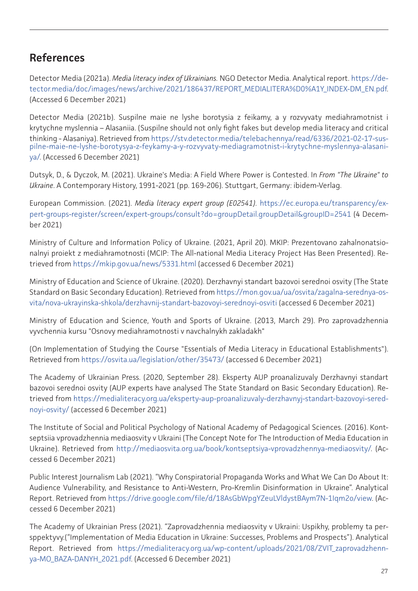# <span id="page-26-0"></span>**References**

Detector Media (2021a). *Media literacy index of Ukrainians.* NGO Detector Media. Analytical report. [https://de](https://detector.media/doc/images/news/archive/2021/186437/REPORT_MEDIALITERA%D0%A1Y_INDEX-DM_EN.pdf)[tector.media/doc/images/news/archive/2021/186437/REPORT\\_MEDIALITERA%D0%A1Y\\_INDEX-DM\\_EN.pdf.](https://detector.media/doc/images/news/archive/2021/186437/REPORT_MEDIALITERA%D0%A1Y_INDEX-DM_EN.pdf) (Accessed 6 December 2021)

Detector Media (2021b). Suspilne maie ne lyshe borotysia z feikamy, a y rozvyvaty mediahramotnist i krytychne myslennia – Alasaniia. (Suspilne should not only fight fakes but develop media literacy and critical thinking - Alasaniya). Retrieved from [https://stv.detector.media/telebachennya/read/6336/2021-02-17-sus](https://stv.detector.media/telebachennya/read/6336/2021-02-17-suspilne-maie-ne-lyshe-borotysya-z-fey)[pilne-maie-ne-lyshe-borotysya-z-feykamy-a-y-rozvyvaty-mediagramotnist-i-krytychne-myslennya-alasani](https://stv.detector.media/telebachennya/read/6336/2021-02-17-suspilne-maie-ne-lyshe-borotysya-z-fey)[ya/](https://stv.detector.media/telebachennya/read/6336/2021-02-17-suspilne-maie-ne-lyshe-borotysya-z-fey). (Accessed 6 December 2021)

Dutsyk, D., & Dyczok, M. (2021). Ukraine's Media: A Field Where Power is Contested. In *From "The Ukraine" to Ukraine*. A Contemporary History, 1991-2021 (pp. 169-206). Stuttgart, Germany: ibidem-Verlag.

European Commission. (2021). *Media literacy expert group (E02541)*. [https://ec.europa.eu/transparency/ex](https://ec.europa.eu/transparency/expert-groups-register/screen/expert-groups/consult?do=groupDetail)[pert-groups-register/screen/expert-groups/consult?do=groupDetail.groupDetail&groupID=2541](https://ec.europa.eu/transparency/expert-groups-register/screen/expert-groups/consult?do=groupDetail) (4 December 2021)

Ministry of Culture and Information Policy of Ukraine. (2021, April 20). MKIP: Prezentovano zahalnonatsionalnyi proiekt z mediahramotnosti (MCIP: The All-national Media Literacy Project Has Been Presented). Retrieved from<https://mkip.gov.ua/news/5331.html>(accessed 6 December 2021)

Ministry of Education and Science of Ukraine. (2020). Derzhavnyi standart bazovoi serednoi osvity (The State Standard on Basic Secondary Education). Retrieved from [https://mon.gov.ua/ua/osvita/zagalna-serednya-os](https://mon.gov.ua/ua/osvita/zagalna-serednya-osvita/nova-ukrayinska-shkola/derzhavnij-standart-bazo)[vita/nova-ukrayinska-shkola/derzhavnij-standart-bazovoyi-serednoyi-osviti](https://mon.gov.ua/ua/osvita/zagalna-serednya-osvita/nova-ukrayinska-shkola/derzhavnij-standart-bazo) (accessed 6 December 2021)

Ministry of Education and Science, Youth and Sports of Ukraine. (2013, March 29). Pro zaprovadzhennia vyvchennia kursu "Osnovy mediahramotnosti v navchalnykh zakladakh"

(On Implementation of Studying the Course "Essentials of Media Literacy in Educational Establishments"). Retrieved from <https://osvita.ua/legislation/other/35473/>(accessed 6 December 2021)

The Academy of Ukrainian Press. (2020, September 28). Eksperty AUP proanalizuvaly Derzhavnyi standart bazovoi serednoi osvity (AUP experts have analysed The State Standard on Basic Secondary Education). Retrieved from [https://medialiteracy.org.ua/eksperty-aup-proanalizuvaly-derzhavnyj-standart-bazovoyi-sered](https://medialiteracy.org.ua/eksperty-aup-proanalizuvaly-derzhavnyj-standart-bazovoyi-serednoyi-osvi)[noyi-osvity/](https://medialiteracy.org.ua/eksperty-aup-proanalizuvaly-derzhavnyj-standart-bazovoyi-serednoyi-osvi) (accessed 6 December 2021)

The Institute of Social and Political Psychology of National Academy of Pedagogical Sciences. (2016). Kontseptsiia vprovadzhennia mediaosvity v Ukraini (The Concept Note for The Introduction of Media Education in Ukraine). Retrieved from <http://mediaosvita.org.ua/book/kontseptsiya-vprovadzhennya-mediaosvity/>. (Accessed 6 December 2021)

Public Interest Journalism Lab (2021). "Why Conspiratorial Propaganda Works and What We Can Do About It: Audience Vulnerability, and Resistance to Anti-Western, Pro-Kremlin Disinformation in Ukraine". Analytical Report. Retrieved from [https://drive.google.com/file/d/18AsGbWpgYZeuLVldystBAym7N-1Iqm2o/view.](https://drive.google.com/file/d/18AsGbWpgYZeuLVldystBAym7N-1Iqm2o/view) (Accessed 6 December 2021)

The Academy of Ukrainian Press (2021). "Zaprovadzhennia mediaosvity v Ukraini: Uspikhy, problemy ta persppektyvy.("Implementation of Media Education in Ukraine: Successes, Problems and Prospects"). Analytical Report. Retrieved from h[ttps://medialiteracy.org.ua/wp-content/uploads/2021/08/ZVIT\\_zaprovadzhenn](ttps://medialiteracy.org.ua/wp-content/uploads/2021/08/ZVIT_zaprovadzhennya-MO_BAZA-DANYH_2021.pdf)[ya-MO\\_BAZA-DANYH\\_2021.pdf.](ttps://medialiteracy.org.ua/wp-content/uploads/2021/08/ZVIT_zaprovadzhennya-MO_BAZA-DANYH_2021.pdf) (Accessed 6 December 2021)